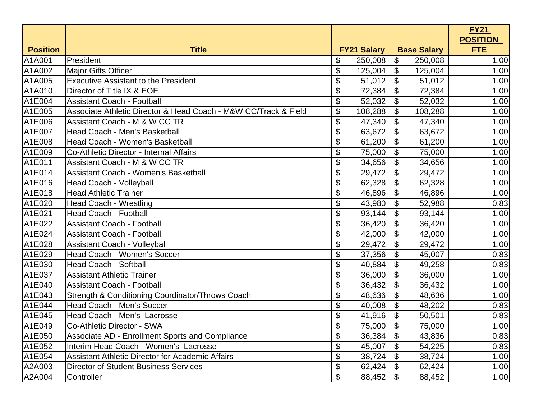|                 |                                                                 |                       |                    |                           |                    | <b>FY21</b>     |
|-----------------|-----------------------------------------------------------------|-----------------------|--------------------|---------------------------|--------------------|-----------------|
|                 |                                                                 |                       |                    |                           |                    | <b>POSITION</b> |
| <b>Position</b> | <u>Title</u>                                                    |                       | <b>FY21 Salary</b> |                           | <b>Base Salary</b> | <b>FTE</b>      |
| A1A001          | President                                                       | \$                    | 250,008            | \$                        | 250,008            | 1.00            |
| A1A002          | <b>Major Gifts Officer</b>                                      | \$                    | 125,004            | \$                        | 125,004            | 1.00            |
| A1A005          | <b>Executive Assistant to the President</b>                     | \$                    | 51,012             | $\boldsymbol{\theta}$     | 51,012             | 1.00            |
| A1A010          | Director of Title IX & EOE                                      | \$                    | 72,384             | \$                        | 72,384             | 1.00            |
| A1E004          | <b>Assistant Coach - Football</b>                               | \$                    | 52,032             | $\boldsymbol{\theta}$     | 52,032             | 1.00            |
| A1E005          | Associate Athletic Director & Head Coach - M&W CC/Track & Field | \$                    | 108,288            | \$                        | 108,288            | 1.00            |
| A1E006          | Assistant Coach - M & W CC TR                                   | \$                    | 47,340             | $\boldsymbol{\mathsf{S}}$ | 47,340             | 1.00            |
| A1E007          | Head Coach - Men's Basketball                                   | \$                    | 63,672             | \$                        | 63,672             | 1.00            |
| A1E008          | Head Coach - Women's Basketball                                 | \$                    | 61,200             | $\boldsymbol{\mathsf{S}}$ | 61,200             | 1.00            |
| A1E009          | Co-Athletic Director - Internal Affairs                         | $\boldsymbol{\theta}$ | 75,000             | \$                        | 75,000             | 1.00            |
| A1E011          | Assistant Coach - M & W CC TR                                   | \$                    | 34,656             | $\boldsymbol{\theta}$     | 34,656             | 1.00            |
| A1E014          | <b>Assistant Coach - Women's Basketball</b>                     | \$                    | 29,472             | \$                        | 29,472             | 1.00            |
| A1E016          | Head Coach - Volleyball                                         | \$                    | 62,328             | \$                        | 62,328             | 1.00            |
| A1E018          | <b>Head Athletic Trainer</b>                                    | $\boldsymbol{\theta}$ | 46,896             | \$                        | 46,896             | 1.00            |
| A1E020          | <b>Head Coach - Wrestling</b>                                   | \$                    | 43,980             | $\boldsymbol{\theta}$     | 52,988             | 0.83            |
| A1E021          | <b>Head Coach - Football</b>                                    | \$                    | 93,144             | \$                        | 93,144             | 1.00            |
| A1E022          | <b>Assistant Coach - Football</b>                               | \$                    | 36,420             | $\boldsymbol{\mathsf{S}}$ | 36,420             | 1.00            |
| A1E024          | <b>Assistant Coach - Football</b>                               | $\boldsymbol{\theta}$ | 42,000             | \$                        | 42,000             | 1.00            |
| A1E028          | <b>Assistant Coach - Volleyball</b>                             | \$                    | 29,472             | $\boldsymbol{\theta}$     | 29,472             | 1.00            |
| A1E029          | <b>Head Coach - Women's Soccer</b>                              | $\boldsymbol{\theta}$ | 37,356             | \$                        | 45,007             | 0.83            |
| A1E030          | <b>Head Coach - Softball</b>                                    | \$                    | 40,884             | \$                        | 49,258             | 0.83            |
| A1E037          | <b>Assistant Athletic Trainer</b>                               | $\boldsymbol{\theta}$ | 36,000             | \$                        | 36,000             | 1.00            |
| A1E040          | <b>Assistant Coach - Football</b>                               | \$                    | 36,432             | $\boldsymbol{\theta}$     | 36,432             | 1.00            |
| A1E043          | Strength & Conditioning Coordinator/Throws Coach                | \$                    | 48,636             | \$                        | 48,636             | 1.00            |
| A1E044          | <b>Head Coach - Men's Soccer</b>                                | \$                    | 40,008             | $\boldsymbol{\theta}$     | 48,202             | 0.83            |
| A1E045          | Head Coach - Men's Lacrosse                                     | $\boldsymbol{\theta}$ | 41,916             | \$                        | 50,501             | 0.83            |
| A1E049          | Co-Athletic Director - SWA                                      | \$                    | 75,000             | \$                        | 75,000             | 1.00            |
| A1E050          | Associate AD - Enrollment Sports and Compliance                 | \$                    | 36,384             | \$                        | 43,836             | 0.83            |
| A1E052          | Interim Head Coach - Women's Lacrosse                           | \$                    | 45,007             | \$                        | 54,225             | 0.83            |
| A1E054          | <b>Assistant Athletic Director for Academic Affairs</b>         | \$                    | 38,724             | \$                        | 38,724             | 1.00            |
| A2A003          | <b>Director of Student Business Services</b>                    | \$                    | 62,424             | \$                        | 62,424             | 1.00            |
| A2A004          | Controller                                                      | $\boldsymbol{\theta}$ | 88,452             | \$                        | 88,452             | 1.00            |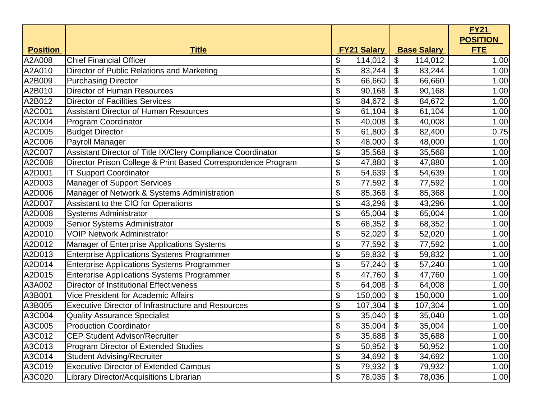|                 |                                                              |                            |                    |                   |                    | <b>FY21</b>                   |
|-----------------|--------------------------------------------------------------|----------------------------|--------------------|-------------------|--------------------|-------------------------------|
| <b>Position</b> | <b>Title</b>                                                 |                            | <b>FY21 Salary</b> |                   | <b>Base Salary</b> | <b>POSITION</b><br><b>FTE</b> |
| A2A008          | <b>Chief Financial Officer</b>                               | \$                         | 114,012            | \$                | 114,012            | 1.00                          |
| A2A010          | Director of Public Relations and Marketing                   | \$                         | 83,244             | \$                | 83,244             | 1.00                          |
| A2B009          | <b>Purchasing Director</b>                                   | \$                         | 66,660             | \$                | 66,660             | 1.00                          |
| A2B010          | <b>Director of Human Resources</b>                           | \$                         | 90,168             | \$                | 90,168             | 1.00                          |
| A2B012          | <b>Director of Facilities Services</b>                       | \$                         | 84,672             | \$                | 84,672             | 1.00                          |
| A2C001          | <b>Assistant Director of Human Resources</b>                 | \$                         | 61,104             | \$                | 61,104             | 1.00                          |
| A2C004          | Program Coordinator                                          | \$                         | 40,008             | \$                | 40,008             | 1.00                          |
| A2C005          | <b>Budget Director</b>                                       | \$                         | 61,800             | \$                | 82,400             | 0.75                          |
| A2C006          | Payroll Manager                                              | \$                         | 48,000             | \$                | 48,000             | 1.00                          |
| A2C007          | Assistant Director of Title IX/Clery Compliance Coordinator  | \$                         | 35,568             | \$                | 35,568             | 1.00                          |
| A2C008          | Director Prison College & Print Based Correspondence Program | \$                         | 47,880             | \$                | 47,880             | 1.00                          |
| A2D001          | <b>IT Support Coordinator</b>                                | \$                         | 54,639             | \$                | 54,639             | 1.00                          |
| A2D003          | <b>Manager of Support Services</b>                           | \$                         | 77,592             | \$                | 77,592             | 1.00                          |
| A2D006          | Manager of Network & Systems Administration                  | \$                         | 85,368             | \$                | 85,368             | 1.00                          |
| A2D007          | Assistant to the CIO for Operations                          | \$                         | 43,296             | \$                | 43,296             | 1.00                          |
| A2D008          | <b>Systems Administrator</b>                                 | \$                         | 65,004             | \$                | 65,004             | 1.00                          |
| A2D009          | Senior Systems Administrator                                 | \$                         | 68,352             | \$                | 68,352             | 1.00                          |
| A2D010          | <b>VOIP Network Administrator</b>                            | \$                         | 52,020             | \$                | 52,020             | 1.00                          |
| A2D012          | Manager of Enterprise Applications Systems                   | \$                         | 77,592             | \$                | 77,592             | 1.00                          |
| A2D013          | <b>Enterprise Applications Systems Programmer</b>            | \$                         | 59,832             | \$                | 59,832             | 1.00                          |
| A2D014          | <b>Enterprise Applications Systems Programmer</b>            | \$                         | 57,240             | \$                | 57,240             | 1.00                          |
| A2D015          | <b>Enterprise Applications Systems Programmer</b>            | \$                         | 47,760             | \$                | 47,760             | 1.00                          |
| A3A002          | <b>Director of Institutional Effectiveness</b>               | \$                         | 64,008             | \$                | 64,008             | 1.00                          |
| A3B001          | <b>Vice President for Academic Affairs</b>                   | \$                         | 150,000            | \$                | 150,000            | 1.00                          |
| A3B005          | <b>Executive Director of Infrastructure and Resources</b>    | \$                         | 107,304            | \$                | 107,304            | 1.00                          |
| A3C004          | <b>Quality Assurance Specialist</b>                          | \$                         | 35,040             | \$                | 35,040             | 1.00                          |
| A3C005          | <b>Production Coordinator</b>                                | \$                         | 35,004             | \$                | 35,004             | 1.00                          |
| A3C012          | <b>CEP Student Advisor/Recruiter</b>                         | \$                         | 35,688             | \$                | 35,688             | 1.00                          |
| A3C013          | Program Director of Extended Studies                         | \$                         | 50,952             | $\boldsymbol{\$}$ | 50,952             | 1.00                          |
| A3C014          | <b>Student Advising/Recruiter</b>                            | \$                         | 34,692             | \$                | 34,692             | 1.00                          |
| A3C019          | <b>Executive Director of Extended Campus</b>                 | $\boldsymbol{\$}$          | 79,932             | \$                | 79,932             | 1.00                          |
| A3C020          | Library Director/Acquisitions Librarian                      | $\boldsymbol{\mathsf{\$}}$ | 78,036             | \$                | 78,036             | 1.00                          |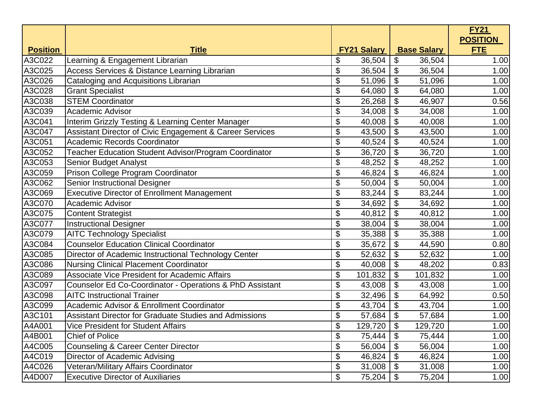|                 |                                                               |                            |                    |                   |                    | <b>FY21</b>                   |
|-----------------|---------------------------------------------------------------|----------------------------|--------------------|-------------------|--------------------|-------------------------------|
| <b>Position</b> | <b>Title</b>                                                  |                            | <b>FY21 Salary</b> |                   | <b>Base Salary</b> | <b>POSITION</b><br><b>FTE</b> |
| A3C022          | Learning & Engagement Librarian                               | \$                         | 36,504             | \$                | 36,504             | 1.00                          |
| A3C025          | Access Services & Distance Learning Librarian                 | \$                         | 36,504             | \$                | 36,504             | 1.00                          |
| A3C026          | Cataloging and Acquisitions Librarian                         | \$                         | 51,096             | \$                | 51,096             | 1.00                          |
| A3C028          | <b>Grant Specialist</b>                                       | \$                         | 64,080             | \$                | 64,080             | 1.00                          |
| A3C038          | <b>STEM Coordinator</b>                                       | \$                         | 26,268             | \$                | 46,907             | 0.56                          |
| A3C039          | <b>Academic Advisor</b>                                       | \$                         | 34,008             | \$                | 34,008             | 1.00                          |
| A3C041          | Interim Grizzly Testing & Learning Center Manager             | \$                         | 40,008             | \$                | 40,008             | 1.00                          |
| A3C047          | Assistant Director of Civic Engagement & Career Services      | \$                         | 43,500             | \$                | 43,500             | 1.00                          |
| A3C051          | <b>Academic Records Coordinator</b>                           | \$                         | 40,524             | \$                | 40,524             | 1.00                          |
| A3C052          | Teacher Education Student Advisor/Program Coordinator         | \$                         | 36,720             | \$                | 36,720             | 1.00                          |
| A3C053          | Senior Budget Analyst                                         | \$                         | 48,252             | \$                | 48,252             | 1.00                          |
| A3C059          | Prison College Program Coordinator                            | \$                         | 46,824             | \$                | 46,824             | 1.00                          |
| A3C062          | Senior Instructional Designer                                 | \$                         | 50,004             | \$                | 50,004             | 1.00                          |
| A3C069          | <b>Executive Director of Enrollment Management</b>            | \$                         | 83,244             | \$                | 83,244             | 1.00                          |
| A3C070          | <b>Academic Advisor</b>                                       | \$                         | 34,692             | \$                | 34,692             | 1.00                          |
| A3C075          | <b>Content Strategist</b>                                     | \$                         | 40,812             | \$                | 40,812             | 1.00                          |
| A3C077          | <b>Instructional Designer</b>                                 | \$                         | 38,004             | \$                | 38,004             | 1.00                          |
| A3C079          | <b>AITC Technology Specialist</b>                             | \$                         | 35,388             | \$                | 35,388             | 1.00                          |
| A3C084          | <b>Counselor Education Clinical Coordinator</b>               | \$                         | 35,672             | \$                | 44,590             | 0.80                          |
| A3C085          | Director of Academic Instructional Technology Center          | \$                         | 52,632             | \$                | 52,632             | 1.00                          |
| A3C086          | <b>Nursing Clinical Placement Coordinator</b>                 | \$                         | 40,008             | \$                | 48,202             | 0.83                          |
| A3C089          | <b>Associate Vice President for Academic Affairs</b>          | \$                         | 101,832            | \$                | 101,832            | 1.00                          |
| A3C097          | Counselor Ed Co-Coordinator - Operations & PhD Assistant      | \$                         | 43,008             | \$                | 43,008             | 1.00                          |
| A3C098          | <b>AITC Instructional Trainer</b>                             | \$                         | 32,496             | \$                | 64,992             | 0.50                          |
| A3C099          | <b>Academic Advisor &amp; Enrollment Coordinator</b>          | \$                         | 43,704             | \$                | 43,704             | 1.00                          |
| A3C101          | <b>Assistant Director for Graduate Studies and Admissions</b> | \$                         | 57,684             | \$                | 57,684             | 1.00                          |
| A4A001          | <b>Vice President for Student Affairs</b>                     | \$                         | 129,720            | \$                | 129,720            | 1.00                          |
| A4B001          | <b>Chief of Police</b>                                        | \$                         | 75,444             | \$                | 75,444             | 1.00                          |
| A4C005          | <b>Counseling &amp; Career Center Director</b>                | \$                         | 56,004             | $\boldsymbol{\$}$ | 56,004             | 1.00                          |
| A4C019          | Director of Academic Advising                                 | \$                         | 46,824             | \$                | 46,824             | 1.00                          |
| A4C026          | Veteran/Military Affairs Coordinator                          | \$                         | 31,008             | \$                | 31,008             | 1.00                          |
| A4D007          | <b>Executive Director of Auxiliaries</b>                      | $\boldsymbol{\mathsf{\$}}$ | 75,204             | \$                | 75,204             | 1.00                          |